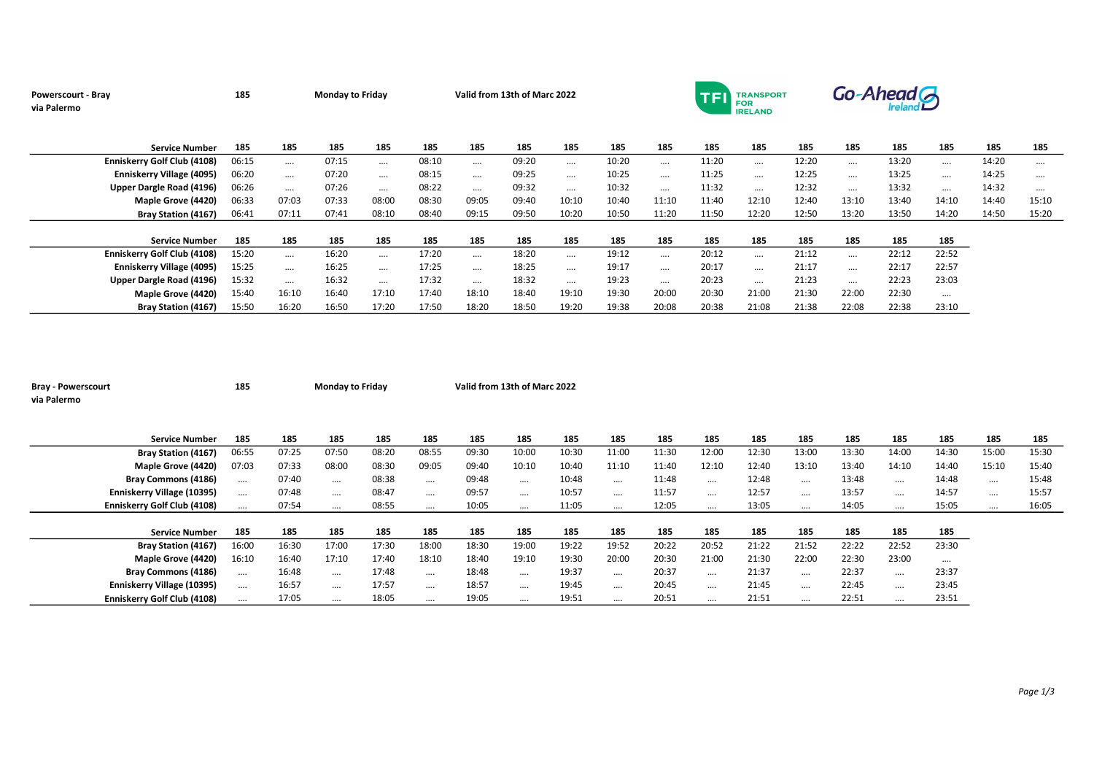| Powerscourt - Bray<br>via Palermo  | 185   |          | <b>Monday to Friday</b> |          |       | Valid from 13th of Marc 2022 |       |          |       |          | TFI   | TRANSPORT<br><b>FOR</b><br><b>IRELAND</b> |       |          | Go-Ahead G |          |       |       |
|------------------------------------|-------|----------|-------------------------|----------|-------|------------------------------|-------|----------|-------|----------|-------|-------------------------------------------|-------|----------|------------|----------|-------|-------|
| <b>Service Number</b>              | 185   | 185      | 185                     | 185      | 185   | 185                          | 185   | 185      | 185   | 185      | 185   | 185                                       | 185   | 185      | 185        | 185      | 185   | 185   |
| <b>Enniskerry Golf Club (4108)</b> | 06:15 | $\cdots$ | 07:15                   | $\cdots$ | 08:10 |                              | 09:20 |          | 10:20 | $\cdots$ | 11:20 | $\cdots$                                  | 12:20 | $\cdots$ | 13:20      | $\cdots$ | 14:20 |       |
| Enniskerry Village (4095)          | 06:20 | $\cdots$ | 07:20                   | $\cdots$ | 08:15 | $\cdots$                     | 09:25 | $\cdots$ | 10:25 | $\cdots$ | 11:25 | $\cdots$                                  | 12:25 | $\cdots$ | 13:25      | $\cdots$ | 14:25 |       |
| Upper Dargle Road (4196)           | 06:26 | $\cdots$ | 07:26                   | $\cdots$ | 08:22 | $\cdots$                     | 09:32 |          | 10:32 | $\cdots$ | 11:32 | $\cdots$                                  | 12:32 | $\cdots$ | 13:32      | $\cdots$ | 14:32 |       |
| Maple Grove (4420)                 | 06:33 | 07:03    | 07:33                   | 08:00    | 08:30 | 09:05                        | 09:40 | 10:10    | 10:40 | 11:10    | 11:40 | 12:10                                     | 12:40 | 13:10    | 13:40      | 14:10    | 14:40 | 15:10 |
| <b>Bray Station (4167)</b>         | 06:41 | 07:11    | 07:41                   | 08:10    | 08:40 | 09:15                        | 09:50 | 10:20    | 10:50 | 11:20    | 11:50 | 12:20                                     | 12:50 | 13:20    | 13:50      | 14:20    | 14:50 | 15:20 |
| <b>Service Number</b>              | 185   | 185      | 185                     | 185      | 185   | 185                          | 185   | 185      | 185   | 185      | 185   | 185                                       | 185   | 185      | 185        | 185      |       |       |
| <b>Enniskerry Golf Club (4108)</b> | 15:20 | $\cdots$ | 16:20                   | $\cdots$ | 17:20 | $\cdots$                     | 18:20 |          | 19:12 | $\cdots$ | 20:12 | $\cdots$                                  | 21:12 | $\cdots$ | 22:12      | 22:52    |       |       |
| <b>Enniskerry Village (4095)</b>   | 15:25 | $\cdots$ | 16:25                   | $\cdots$ | 17:25 | $\cdots$                     | 18:25 |          | 19:17 | $\cdots$ | 20:17 | $\cdots$                                  | 21:17 | $\cdots$ | 22:17      | 22:57    |       |       |
| Upper Dargle Road (4196)           | 15:32 | $\cdots$ | 16:32                   | $\cdots$ | 17:32 | $\cdots$                     | 18:32 | $\cdots$ | 19:23 | $\cdots$ | 20:23 | $\cdots$                                  | 21:23 | $\cdots$ | 22:23      | 23:03    |       |       |
| Maple Grove (4420)                 | 15:40 | 16:10    | 16:40                   | 17:10    | 17:40 | 18:10                        | 18:40 | 19:10    | 19:30 | 20:00    | 20:30 | 21:00                                     | 21:30 | 22:00    | 22:30      | $\cdots$ |       |       |
| <b>Bray Station (4167)</b>         | 15:50 | 16:20    | 16:50                   | 17:20    | 17:50 | 18:20                        | 18:50 | 19:20    | 19:38 | 20:08    | 20:38 | 21:08                                     | 21:38 | 22:08    | 22:38      | 23:10    |       |       |

| <b>Service Number</b>              | 185      | 185   | 185      | 185   | 185      | 185   | 185      | 185   | 185      | 185   | 185      | 185   | 185      | 185   | 185      | 185      | 185      | 185   |
|------------------------------------|----------|-------|----------|-------|----------|-------|----------|-------|----------|-------|----------|-------|----------|-------|----------|----------|----------|-------|
| <b>Bray Station (4167)</b>         | 06:55    | 07:25 | 07:50    | 08:20 | 08:55    | 09:30 | 10:00    | 10:30 | 11:00    | 11:30 | 12:00    | 12:30 | 13:00    | 13:30 | 14:00    | 14:30    | 15:00    | 15:30 |
| <b>Maple Grove (4420)</b>          | 07:03    | 07:33 | 08:00    | 08:30 | 09:05    | 09:40 | 10:10    | 10:40 | 11:10    | 11:40 | 12:10    | 12:40 | 13:10    | 13:40 | 14:10    | 14:40    | 15:10    | 15:40 |
| <b>Bray Commons (4186)</b>         | $\cdots$ | 07:40 | $\cdots$ | 08:38 | $\cdots$ | 09:48 | $\cdots$ | 10:48 | $\cdots$ | 11:48 | $\cdots$ | 12:48 | $\cdots$ | 13:48 | $\cdots$ | 14:48    | $\cdots$ | 15:48 |
| Enniskerry Village (10395)         | $\cdots$ | 07:48 | $\cdots$ | 08:47 | $\cdots$ | 09:57 | $\cdots$ | 10:57 | $\cdots$ | 11:57 | $\cdots$ | 12:57 | $\cdots$ | 13:57 | $\cdots$ | 14:57    | $\cdots$ | 15:57 |
| <b>Enniskerry Golf Club (4108)</b> | $\cdots$ | 07:54 | $\cdots$ | 08:55 | $\cdots$ | 10:05 | $\cdots$ | 11:05 | $\cdots$ | 12:05 | $\cdots$ | 13:05 | $\cdots$ | 14:05 | $\cdots$ | 15:05    | $\cdots$ | 16:05 |
|                                    |          |       |          |       |          |       |          |       |          |       |          |       |          |       |          |          |          |       |
| <b>Service Number</b>              | 185      | 185   | 185      | 185   | 185      | 185   | 185      | 185   | 185      | 185   | 185      | 185   | 185      | 185   | 185      | 185      |          |       |
| <b>Bray Station (4167)</b>         | 16:00    | 16:30 | 17:00    | 17:30 | 18:00    | 18:30 | 19:00    | 19:22 | 19:52    | 20:22 | 20:52    | 21:22 | 21:52    | 22:22 | 22:52    | 23:30    |          |       |
| <b>Maple Grove (4420)</b>          | 16:10    | 16:40 | 17:10    | 17:40 | 18:10    | 18:40 | 19:10    | 19:30 | 20:00    | 20:30 | 21:00    | 21:30 | 22:00    | 22:30 | 23:00    | $\cdots$ |          |       |
| <b>Bray Commons (4186)</b>         | $\cdots$ | 16:48 | $\cdots$ | 17:48 | $\cdots$ | 18:48 | $\cdots$ | 19:37 | $\cdots$ | 20:37 | $\cdots$ | 21:37 | $\cdots$ | 22:37 | $\cdots$ | 23:37    |          |       |
| Enniskerry Village (10395)         | $\cdots$ | 16:57 | $\cdots$ | 17:57 | $\cdots$ | 18:57 | $\cdots$ | 19:45 | $\cdots$ | 20:45 | $\cdots$ | 21:45 | $\cdots$ | 22:45 | $\cdots$ | 23:45    |          |       |
| <b>Enniskerry Golf Club (4108)</b> |          | 17:05 | $\cdots$ | 18:05 |          | 19:05 |          | 19:51 | $\cdots$ | 20:51 | $\cdots$ | 21:51 | $\cdots$ | 22:51 |          | 23:51    |          |       |

Bray - Powerscourt 185 Monday to Friday Valid from 13th of Marc 2022

via Palermo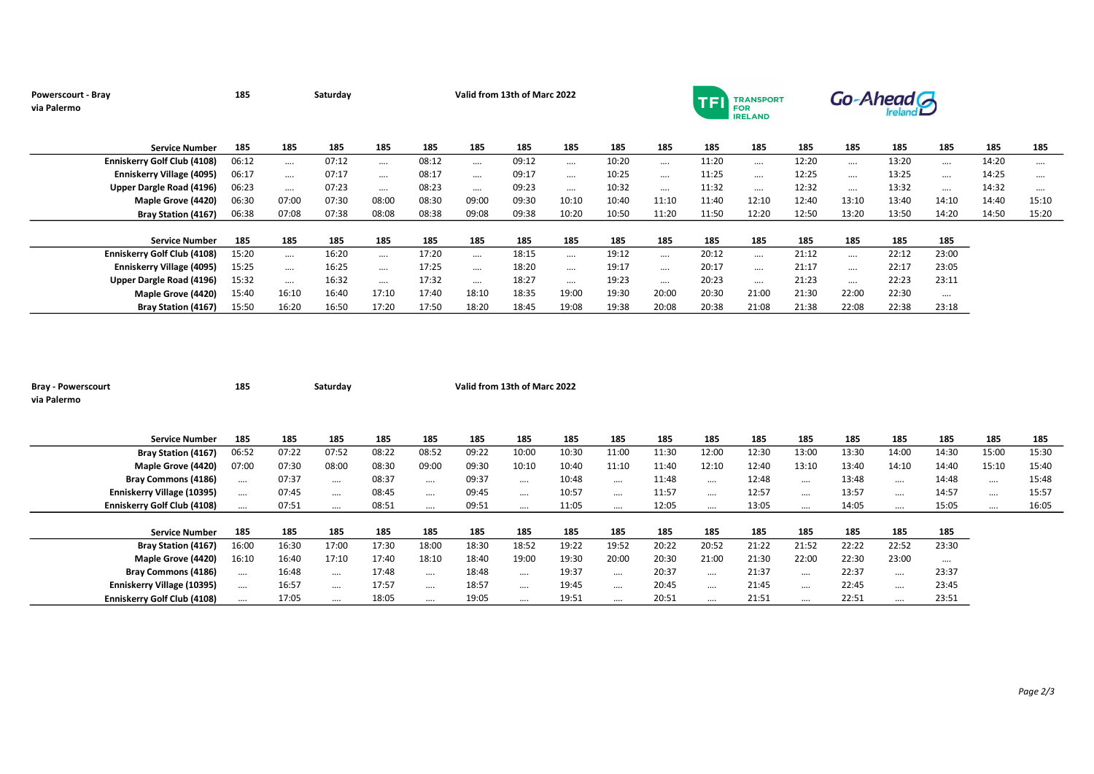| <b>Powerscourt - Bray</b><br>via Palermo | 185   |          | Saturday |          | Valid from 13th of Marc 2022<br><b>TRANSPORT</b><br><b>TFI</b><br><b>FOR</b><br><b>IRELAND</b> |          |       |          |       |          |       |          |       |          | Go-Ahead <sub>G</sub> |          |       |          |  |  |
|------------------------------------------|-------|----------|----------|----------|------------------------------------------------------------------------------------------------|----------|-------|----------|-------|----------|-------|----------|-------|----------|-----------------------|----------|-------|----------|--|--|
| <b>Service Number</b>                    | 185   | 185      | 185      | 185      | 185                                                                                            | 185      | 185   | 185      | 185   | 185      | 185   | 185      | 185   | 185      | 185                   | 185      | 185   | 185      |  |  |
| <b>Enniskerry Golf Club (4108)</b>       | 06:12 | $\cdots$ | 07:12    | $\cdots$ | 08:12                                                                                          | $\cdots$ | 09:12 | $\cdots$ | 10:20 | $\cdots$ | 11:20 | $\cdots$ | 12:20 | $\cdots$ | 13:20                 | $\cdots$ | 14:20 | $\cdots$ |  |  |
| <b>Enniskerry Village (4095)</b>         | 06:17 | $\cdots$ | 07:17    | $\cdots$ | 08:17                                                                                          | $\cdots$ | 09:17 | $\cdots$ | 10:25 |          | 11:25 | $\cdots$ | 12:25 | $\cdots$ | 13:25                 | $\cdots$ | 14:25 |          |  |  |
| Upper Dargle Road (4196)                 | 06:23 | $\cdots$ | 07:23    | $\cdots$ | 08:23                                                                                          | $\cdots$ | 09:23 | $\cdots$ | 10:32 | $\cdots$ | 11:32 | $\cdots$ | 12:32 | $\cdots$ | 13:32                 | $\cdots$ | 14:32 |          |  |  |
| Maple Grove (4420)                       | 06:30 | 07:00    | 07:30    | 08:00    | 08:30                                                                                          | 09:00    | 09:30 | 10:10    | 10:40 | 11:10    | 11:40 | 12:10    | 12:40 | 13:10    | 13:40                 | 14:10    | 14:40 | 15:10    |  |  |
| <b>Bray Station (4167)</b>               | 06:38 | 07:08    | 07:38    | 08:08    | 08:38                                                                                          | 09:08    | 09:38 | 10:20    | 10:50 | 11:20    | 11:50 | 12:20    | 12:50 | 13:20    | 13:50                 | 14:20    | 14:50 | 15:20    |  |  |
| <b>Service Number</b>                    | 185   | 185      | 185      | 185      | 185                                                                                            | 185      | 185   | 185      | 185   | 185      | 185   | 185      | 185   | 185      | 185                   | 185      |       |          |  |  |
| <b>Enniskerry Golf Club (4108)</b>       | 15:20 | $\cdots$ | 16:20    | $\cdots$ | 17:20                                                                                          | $\cdots$ | 18:15 |          | 19:12 | $\cdots$ | 20:12 | $\cdots$ | 21:12 | $\cdots$ | 22:12                 | 23:00    |       |          |  |  |
| Enniskerry Village (4095)                | 15:25 | $\cdots$ | 16:25    | $\cdots$ | 17:25                                                                                          | $\cdots$ | 18:20 | $\cdots$ | 19:17 | $\cdots$ | 20:17 | $\cdots$ | 21:17 | $\cdots$ | 22:17                 | 23:05    |       |          |  |  |
| Upper Dargle Road (4196)                 | 15:32 | $\cdots$ | 16:32    | $\cdots$ | 17:32                                                                                          | $\cdots$ | 18:27 | $\cdots$ | 19:23 | $\cdots$ | 20:23 |          | 21:23 | $\cdots$ | 22:23                 | 23:11    |       |          |  |  |
| Maple Grove (4420)                       | 15:40 | 16:10    | 16:40    | 17:10    | 17:40                                                                                          | 18:10    | 18:35 | 19:00    | 19:30 | 20:00    | 20:30 | 21:00    | 21:30 | 22:00    | 22:30                 | $\cdots$ |       |          |  |  |
| <b>Bray Station (4167)</b>               | 15:50 | 16:20    | 16:50    | 17:20    | 17:50                                                                                          | 18:20    | 18:45 | 19:08    | 19:38 | 20:08    | 20:38 | 21:08    | 21:38 | 22:08    | 22:38                 | 23:18    |       |          |  |  |

| <b>Bray - Powerscourt</b><br>via Palermo |                            | 185      |       | Saturday |       |          | Valid from 13th of Marc 2022 |          |       |          |       |          |       |          |       |          |          |          |       |
|------------------------------------------|----------------------------|----------|-------|----------|-------|----------|------------------------------|----------|-------|----------|-------|----------|-------|----------|-------|----------|----------|----------|-------|
|                                          | <b>Service Number</b>      | 185      | 185   | 185      | 185   | 185      | 185                          | 185      | 185   | 185      | 185   | 185      | 185   | 185      | 185   | 185      | 185      | 185      | 185   |
|                                          | <b>Bray Station (4167)</b> | 06:52    | 07:22 | 07:52    | 08:22 | 08:52    | 09:22                        | 10:00    | 10:30 | 11:00    | 11:30 | 12:00    | 12:30 | 13:00    | 13:30 | 14:00    | 14:30    | 15:00    | 15:30 |
|                                          | Maple Grove (4420)         | 07:00    | 07:30 | 08:00    | 08:30 | 09:00    | 09:30                        | 10:10    | 10:40 | 11:10    | 11:40 | 12:10    | 12:40 | 13:10    | 13:40 | 14:10    | 14:40    | 15:10    | 15:40 |
|                                          | <b>Bray Commons (4186)</b> | $\cdots$ | 07:37 | $\cdots$ | 08:37 | $\cdots$ | 09:37                        | $\cdots$ | 10:48 | $\cdots$ | 11:48 | $\cdots$ | 12:48 |          | 13:48 | $\cdots$ | 14:48    | $\cdots$ | 15:48 |
| Enniskerry Village (10395)               |                            | $\cdots$ | 07:45 | $\cdots$ | 08:45 | $\cdots$ | 09:45                        | $\cdots$ | 10:57 | $\cdots$ | 11:57 | $\cdots$ | 12:57 |          | 13:57 |          | 14:57    | $\cdots$ | 15:57 |
| Enniskerry Golf Club (4108)              |                            | $\cdots$ | 07:51 | $\cdots$ | 08:51 | $\cdots$ | 09:51                        | $\cdots$ | 11:05 | $\cdots$ | 12:05 | $\cdots$ | 13:05 | $\cdots$ | 14:05 | $\cdots$ | 15:05    |          | 16:05 |
|                                          | <b>Service Number</b>      | 185      | 185   | 185      | 185   | 185      | 185                          | 185      | 185   | 185      | 185   | 185      | 185   | 185      | 185   | 185      | 185      |          |       |
|                                          | <b>Bray Station (4167)</b> | 16:00    | 16:30 | 17:00    | 17:30 | 18:00    | 18:30                        | 18:52    | 19:22 | 19:52    | 20:22 | 20:52    | 21:22 | 21:52    | 22:22 | 22:52    | 23:30    |          |       |
|                                          | Maple Grove (4420)         | 16:10    | 16:40 | 17:10    | 17:40 | 18:10    | 18:40                        | 19:00    | 19:30 | 20:00    | 20:30 | 21:00    | 21:30 | 22:00    | 22:30 | 23:00    | $\cdots$ |          |       |
|                                          | Bray Commons (4186)        | $\cdots$ | 16:48 | $\cdots$ | 17:48 | $\cdots$ | 18:48                        | $\cdots$ | 19:37 | $\cdots$ | 20:37 | $\cdots$ | 21:37 |          | 22:37 | $\cdots$ | 23:37    |          |       |
| Enniskerry Village (10395)               |                            | $\cdots$ | 16:57 | $\cdots$ | 17:57 | $\cdots$ | 18:57                        | $\cdots$ | 19:45 | $\cdots$ | 20:45 | $\cdots$ | 21:45 |          | 22:45 | $\cdots$ | 23:45    |          |       |
| Enniskerry Golf Club (4108)              |                            | $\cdots$ | 17:05 | $\cdots$ | 18:05 | $\cdots$ | 19:05                        | $\cdots$ | 19:51 | $\cdots$ | 20:51 | $\cdots$ | 21:51 |          | 22:51 | $\cdots$ | 23:51    |          |       |